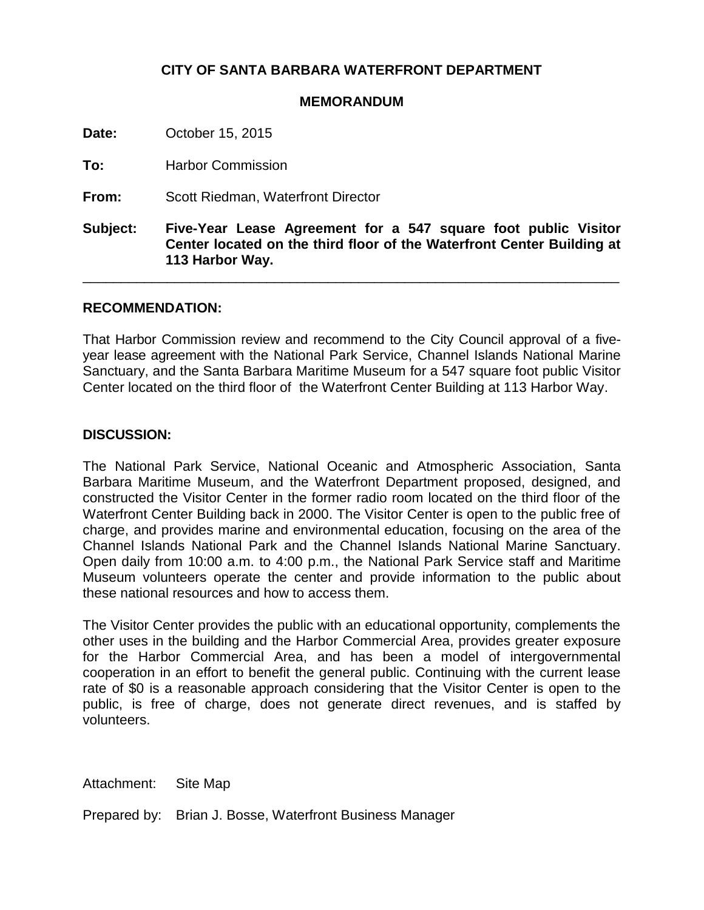## **CITY OF SANTA BARBARA WATERFRONT DEPARTMENT**

## **MEMORANDUM**

**Date:** October 15, 2015

**To:** Harbor Commission

**From:** Scott Riedman, Waterfront Director

**Subject: Five-Year Lease Agreement for a 547 square foot public Visitor Center located on the third floor of the Waterfront Center Building at 113 Harbor Way.**

\_\_\_\_\_\_\_\_\_\_\_\_\_\_\_\_\_\_\_\_\_\_\_\_\_\_\_\_\_\_\_\_\_\_\_\_\_\_\_\_\_\_\_\_\_\_\_\_\_\_\_\_\_\_\_\_\_\_\_\_\_\_\_\_\_\_\_\_\_\_

## **RECOMMENDATION:**

That Harbor Commission review and recommend to the City Council approval of a fiveyear lease agreement with the National Park Service, Channel Islands National Marine Sanctuary, and the Santa Barbara Maritime Museum for a 547 square foot public Visitor Center located on the third floor of the Waterfront Center Building at 113 Harbor Way.

## **DISCUSSION:**

The National Park Service, National Oceanic and Atmospheric Association, Santa Barbara Maritime Museum, and the Waterfront Department proposed, designed, and constructed the Visitor Center in the former radio room located on the third floor of the Waterfront Center Building back in 2000. The Visitor Center is open to the public free of charge, and provides marine and environmental education, focusing on the area of the Channel Islands National Park and the Channel Islands National Marine Sanctuary. Open daily from 10:00 a.m. to 4:00 p.m., the National Park Service staff and Maritime Museum volunteers operate the center and provide information to the public about these national resources and how to access them.

The Visitor Center provides the public with an educational opportunity, complements the other uses in the building and the Harbor Commercial Area, provides greater exposure for the Harbor Commercial Area, and has been a model of intergovernmental cooperation in an effort to benefit the general public. Continuing with the current lease rate of \$0 is a reasonable approach considering that the Visitor Center is open to the public, is free of charge, does not generate direct revenues, and is staffed by volunteers.

Attachment: Site Map

Prepared by: Brian J. Bosse, Waterfront Business Manager